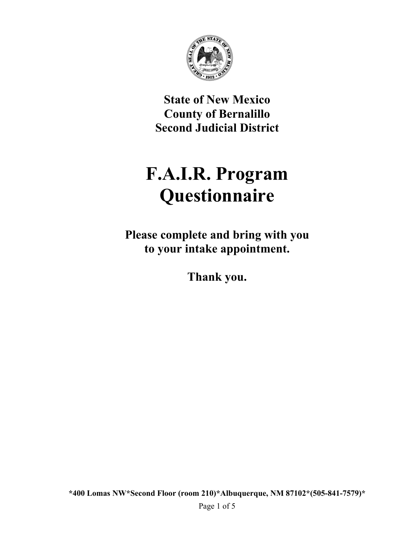

**State of New Mexico County of Bernalillo Second Judicial District** 

# **F.A.I.R. Program Questionnaire**

**Please complete and bring with you to your intake appointment.** 

**Thank you.**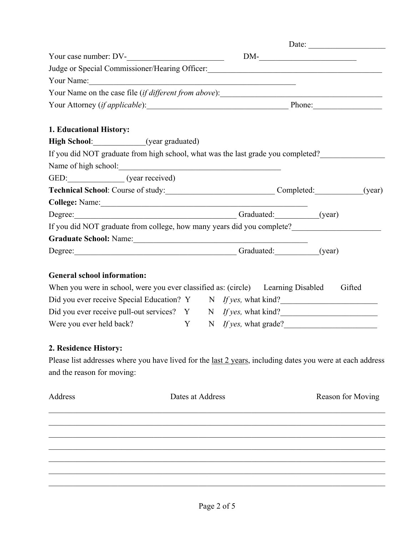| Judge or Special Commissioner/Hearing Officer: __________________________________                                 |                  |  |  |  |                         |  |  |
|-------------------------------------------------------------------------------------------------------------------|------------------|--|--|--|-------------------------|--|--|
| Your Name: New Your Name:                                                                                         |                  |  |  |  |                         |  |  |
|                                                                                                                   |                  |  |  |  |                         |  |  |
| Your Attorney (if applicable): Phone: Phone:                                                                      |                  |  |  |  |                         |  |  |
|                                                                                                                   |                  |  |  |  |                         |  |  |
| 1. Educational History:                                                                                           |                  |  |  |  |                         |  |  |
| High School: (year graduated)                                                                                     |                  |  |  |  |                         |  |  |
| If you did NOT graduate from high school, what was the last grade you completed?                                  |                  |  |  |  |                         |  |  |
|                                                                                                                   |                  |  |  |  |                         |  |  |
| GED: (year received)                                                                                              |                  |  |  |  |                         |  |  |
| Technical School: Course of study:<br>Completed: (year)                                                           |                  |  |  |  |                         |  |  |
|                                                                                                                   |                  |  |  |  |                         |  |  |
| Degree: (year)                                                                                                    |                  |  |  |  |                         |  |  |
| If you did NOT graduate from college, how many years did you complete?                                            |                  |  |  |  |                         |  |  |
|                                                                                                                   |                  |  |  |  |                         |  |  |
| Degree: (year)                                                                                                    |                  |  |  |  |                         |  |  |
| <b>General school information:</b>                                                                                |                  |  |  |  |                         |  |  |
| When you were in school, were you ever classified as: (circle) Learning Disabled Gifted                           |                  |  |  |  |                         |  |  |
| Did you ever receive Special Education? Y N If yes, what kind?                                                    |                  |  |  |  |                         |  |  |
| Did you ever receive pull-out services? Y N If yes, what kind?                                                    |                  |  |  |  |                         |  |  |
| Were you ever held back?                                                                                          |                  |  |  |  | Y N If yes, what grade? |  |  |
|                                                                                                                   |                  |  |  |  |                         |  |  |
| 2. Residence History:                                                                                             |                  |  |  |  |                         |  |  |
| Please list addresses where you have lived for the <u>last 2 years</u> , including dates you were at each address |                  |  |  |  |                         |  |  |
| and the reason for moving:                                                                                        |                  |  |  |  |                         |  |  |
| Address                                                                                                           | Dates at Address |  |  |  | Reason for Moving       |  |  |
|                                                                                                                   |                  |  |  |  |                         |  |  |
|                                                                                                                   |                  |  |  |  |                         |  |  |
|                                                                                                                   |                  |  |  |  |                         |  |  |
|                                                                                                                   |                  |  |  |  |                         |  |  |
|                                                                                                                   |                  |  |  |  |                         |  |  |
|                                                                                                                   |                  |  |  |  |                         |  |  |
|                                                                                                                   |                  |  |  |  |                         |  |  |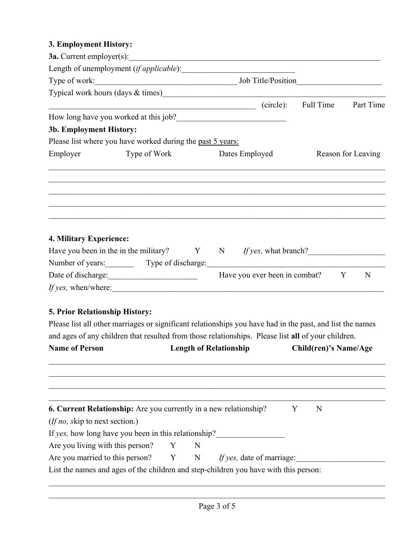#### **3. Employment History:**

|                             |                                                                                                                                                                                             |           | Part Time                                                                                                                                                                                                                                                                             |
|-----------------------------|---------------------------------------------------------------------------------------------------------------------------------------------------------------------------------------------|-----------|---------------------------------------------------------------------------------------------------------------------------------------------------------------------------------------------------------------------------------------------------------------------------------------|
|                             |                                                                                                                                                                                             |           |                                                                                                                                                                                                                                                                                       |
|                             |                                                                                                                                                                                             |           |                                                                                                                                                                                                                                                                                       |
|                             |                                                                                                                                                                                             |           |                                                                                                                                                                                                                                                                                       |
|                             | Reason for Leaving                                                                                                                                                                          |           |                                                                                                                                                                                                                                                                                       |
|                             |                                                                                                                                                                                             |           |                                                                                                                                                                                                                                                                                       |
|                             |                                                                                                                                                                                             |           |                                                                                                                                                                                                                                                                                       |
|                             |                                                                                                                                                                                             |           |                                                                                                                                                                                                                                                                                       |
| <i>If yes</i> , when/where: |                                                                                                                                                                                             | Y         | N                                                                                                                                                                                                                                                                                     |
|                             | How long have you worked at this job?<br><u>Letting</u><br>Please list where you have worked during the past 5 years:<br>Type of Work Dates Employed<br>Number of years: Type of discharge: | (circle): | 3a. Current employer(s): $\qquad \qquad$<br>Typical work hours (days & times) Manual Manual Manual Manual Manual Manual Manual Manual Manual Manual Manual<br>Full Time<br>Have you been in the in the military? $Y \t N$ / $I f yes$ , what branch?<br>Have you ever been in combat? |

### **5. Prior Relationship History:**

Please list all other marriages or significant relationships you have had in the past, and list the names and ages of any children that resulted from those relationships. Please list **all** of your children.

| <b>Length of Relationship</b> |                                        |                                                                                                                                  | Child(ren)'s Name/Age                                                                                                                                     |  |  |
|-------------------------------|----------------------------------------|----------------------------------------------------------------------------------------------------------------------------------|-----------------------------------------------------------------------------------------------------------------------------------------------------------|--|--|
|                               |                                        |                                                                                                                                  |                                                                                                                                                           |  |  |
|                               |                                        |                                                                                                                                  |                                                                                                                                                           |  |  |
|                               |                                        | Y                                                                                                                                | N                                                                                                                                                         |  |  |
|                               |                                        |                                                                                                                                  |                                                                                                                                                           |  |  |
|                               |                                        |                                                                                                                                  |                                                                                                                                                           |  |  |
|                               |                                        |                                                                                                                                  |                                                                                                                                                           |  |  |
|                               |                                        |                                                                                                                                  |                                                                                                                                                           |  |  |
|                               |                                        |                                                                                                                                  |                                                                                                                                                           |  |  |
|                               | Are you living with this person? $Y$ N | <b>6. Current Relationship:</b> Are you currently in a new relationship?<br>If yes, how long have you been in this relationship? | Are you married to this person? $Y = N$ If yes, date of marriage:<br>List the names and ages of the children and step-children you have with this person: |  |  |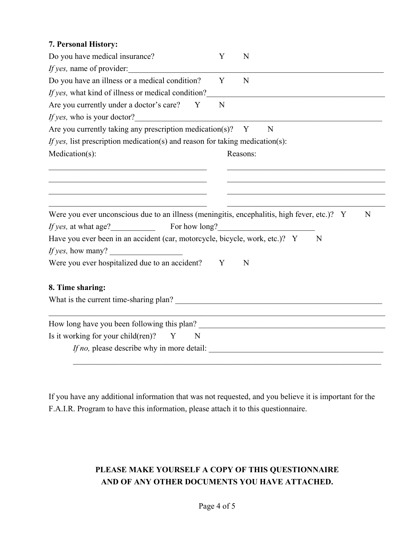| 7. Personal History:                                                                        |   |          |   |   |   |
|---------------------------------------------------------------------------------------------|---|----------|---|---|---|
| Do you have medical insurance?                                                              | Y | N        |   |   |   |
| <i>If yes,</i> name of provider:                                                            |   |          |   |   |   |
| Do you have an illness or a medical condition?                                              | Y | N        |   |   |   |
| If yes, what kind of illness or medical condition?                                          |   |          |   |   |   |
| Are you currently under a doctor's care? Y                                                  | N |          |   |   |   |
| <i>If yes</i> , who is your doctor?                                                         |   |          |   |   |   |
| Are you currently taking any prescription medication(s)? $Y$                                |   |          | N |   |   |
| If yes, list prescription medication(s) and reason for taking medication(s):                |   |          |   |   |   |
| Medication(s):                                                                              |   | Reasons: |   |   |   |
|                                                                                             |   |          |   |   |   |
|                                                                                             |   |          |   |   |   |
|                                                                                             |   |          |   |   |   |
| Were you ever unconscious due to an illness (meningitis, encephalitis, high fever, etc.)? Y |   |          |   |   | N |
| <i>If yes,</i> at what age? For how long?                                                   |   |          |   |   |   |
| Have you ever been in an accident (car, motorcycle, bicycle, work, etc.)? Y                 |   |          |   | N |   |
| If yes, how many?                                                                           |   |          |   |   |   |
| Were you ever hospitalized due to an accident?                                              | Y | N        |   |   |   |
| 8. Time sharing:                                                                            |   |          |   |   |   |
| What is the current time-sharing plan?                                                      |   |          |   |   |   |
|                                                                                             |   |          |   |   |   |
| Is it working for your child(ren)?<br>Y<br>N                                                |   |          |   |   |   |
| If no, please describe why in more detail:                                                  |   |          |   |   |   |
|                                                                                             |   |          |   |   |   |

If you have any additional information that was not requested, and you believe it is important for the F.A.I.R. Program to have this information, please attach it to this questionnaire.

## **PLEASE MAKE YOURSELF A COPY OF THIS QUESTIONNAIRE AND OF ANY OTHER DOCUMENTS YOU HAVE ATTACHED.**